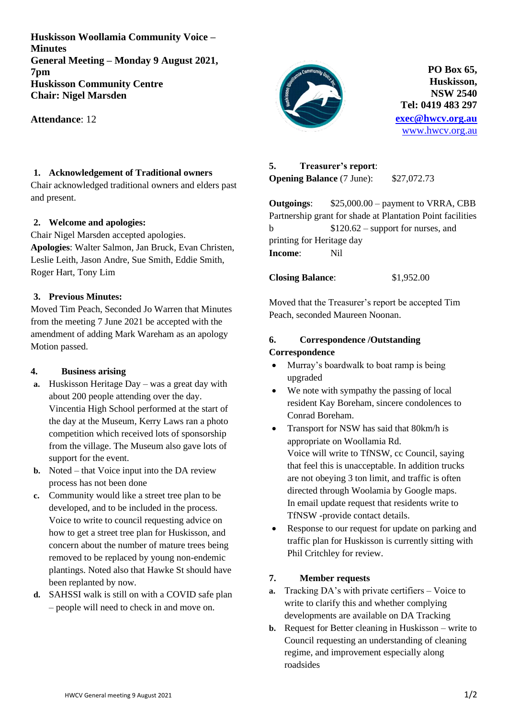**Huskisson Woollamia Community Voice – Minutes General Meeting – Monday 9 August 2021, 7pm Huskisson Community Centre Chair: Nigel Marsden**

**Attendance**: 12

# **1. Acknowledgement of Traditional owners**

Chair acknowledged traditional owners and elders past and present.

## **2. Welcome and apologies:**

Chair Nigel Marsden accepted apologies. **Apologies**: Walter Salmon, Jan Bruck, Evan Christen, Leslie Leith, Jason Andre, Sue Smith, Eddie Smith, Roger Hart, Tony Lim

## **3. Previous Minutes:**

Moved Tim Peach, Seconded Jo Warren that Minutes from the meeting 7 June 2021 be accepted with the amendment of adding Mark Wareham as an apology Motion passed.

## **4. Business arising**

- **a.** Huskisson Heritage Day was a great day with about 200 people attending over the day. Vincentia High School performed at the start of the day at the Museum, Kerry Laws ran a photo competition which received lots of sponsorship from the village. The Museum also gave lots of support for the event.
- **b.** Noted that Voice input into the DA review process has not been done
- **c.** Community would like a street tree plan to be developed, and to be included in the process. Voice to write to council requesting advice on how to get a street tree plan for Huskisson, and concern about the number of mature trees being removed to be replaced by young non-endemic plantings. Noted also that Hawke St should have been replanted by now.
- **d.** SAHSSI walk is still on with a COVID safe plan – people will need to check in and move on.



**PO Box 65, Huskisson, NSW 2540 Tel: 0419 483 297 [exec@hwcv.org.au](mailto:exec@hwcv.org.au)** [www.hwcv.org.au](http://www.hwcv.org.au/)

# **5. Treasurer's report**:

**Opening Balance** (7 June): \$27,072.73

**Outgoings**: \$25,000.00 – payment to VRRA, CBB Partnership grant for shade at Plantation Point facilities b  $$120.62$  – support for nurses, and printing for Heritage day **Income**: Nil

**Closing Balance**: \$1,952.00

Moved that the Treasurer's report be accepted Tim Peach, seconded Maureen Noonan.

# **6. Correspondence /Outstanding Correspondence**

- Murray's boardwalk to boat ramp is being upgraded
- We note with sympathy the passing of local resident Kay Boreham, sincere condolences to Conrad Boreham.
- Transport for NSW has said that 80km/h is appropriate on Woollamia Rd. Voice will write to TfNSW, cc Council, saying that feel this is unacceptable. In addition trucks are not obeying 3 ton limit, and traffic is often directed through Woolamia by Google maps. In email update request that residents write to TfNSW -provide contact details.
- Response to our request for update on parking and traffic plan for Huskisson is currently sitting with Phil Critchley for review.

# **7. Member requests**

- **a.** Tracking DA's with private certifiers Voice to write to clarify this and whether complying developments are available on DA Tracking
- **b.** Request for Better cleaning in Huskisson write to Council requesting an understanding of cleaning regime, and improvement especially along roadsides